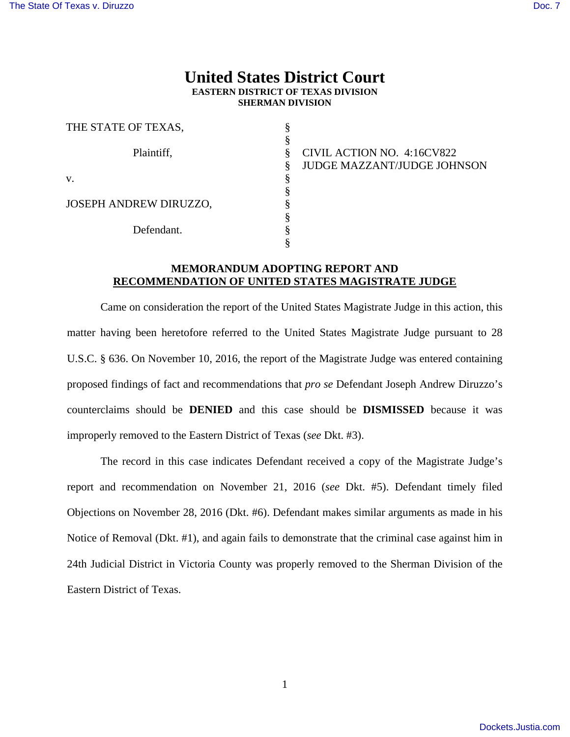## **United States District Court EASTERN DISTRICT OF TEXAS DIVISION SHERMAN DIVISION**

| THE STATE OF TEXAS,           |                                         |
|-------------------------------|-----------------------------------------|
|                               |                                         |
| Plaintiff,                    | CIVIL ACTION NO. 4:16CV822<br>§         |
|                               | <b>JUDGE MAZZANT/JUDGE JOHNSON</b><br>8 |
| V.                            |                                         |
|                               |                                         |
| <b>JOSEPH ANDREW DIRUZZO,</b> |                                         |
|                               |                                         |
| Defendant.                    |                                         |
|                               |                                         |

## **MEMORANDUM ADOPTING REPORT AND RECOMMENDATION OF UNITED STATES MAGISTRATE JUDGE**

Came on consideration the report of the United States Magistrate Judge in this action, this matter having been heretofore referred to the United States Magistrate Judge pursuant to 28 U.S.C. § 636. On November 10, 2016, the report of the Magistrate Judge was entered containing proposed findings of fact and recommendations that *pro se* Defendant Joseph Andrew Diruzzo's counterclaims should be **DENIED** and this case should be **DISMISSED** because it was improperly removed to the Eastern District of Texas (*see* Dkt. #3).

The record in this case indicates Defendant received a copy of the Magistrate Judge's report and recommendation on November 21, 2016 (*see* Dkt. #5). Defendant timely filed Objections on November 28, 2016 (Dkt. #6). Defendant makes similar arguments as made in his Notice of Removal (Dkt. #1), and again fails to demonstrate that the criminal case against him in 24th Judicial District in Victoria County was properly removed to the Sherman Division of the Eastern District of Texas.